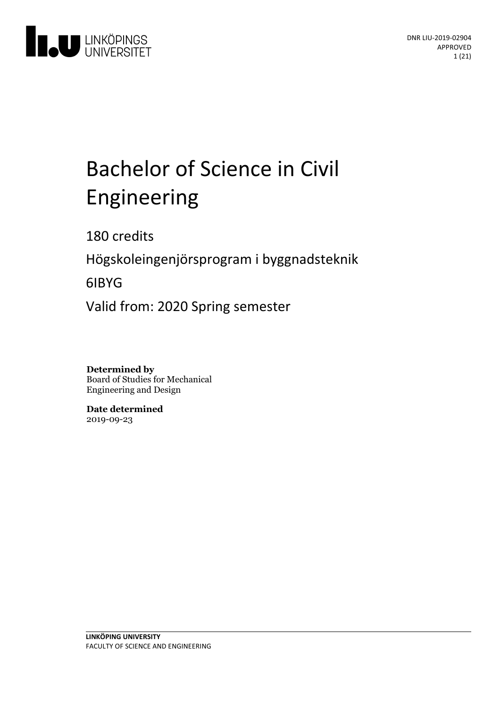

# Bachelor of Science in Civil Engineering

180 credits

Högskoleingenjörsprogram i byggnadsteknik

6IBYG

Valid from: 2020 Spring semester

**Determined by** Board of Studies for Mechanical Engineering and Design

**Date determined** 2019-09-23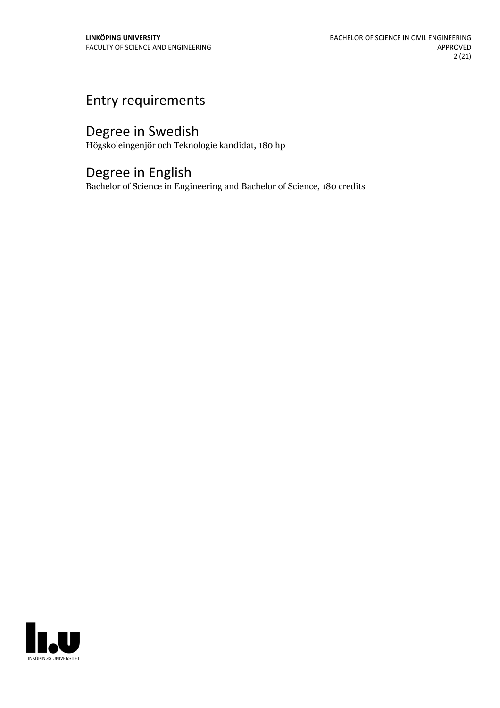# Entry requirements

# Degree in Swedish

Högskoleingenjör och Teknologie kandidat, 180 hp

# Degree in English

Bachelor of Science in Engineering and Bachelor of Science, 180 credits

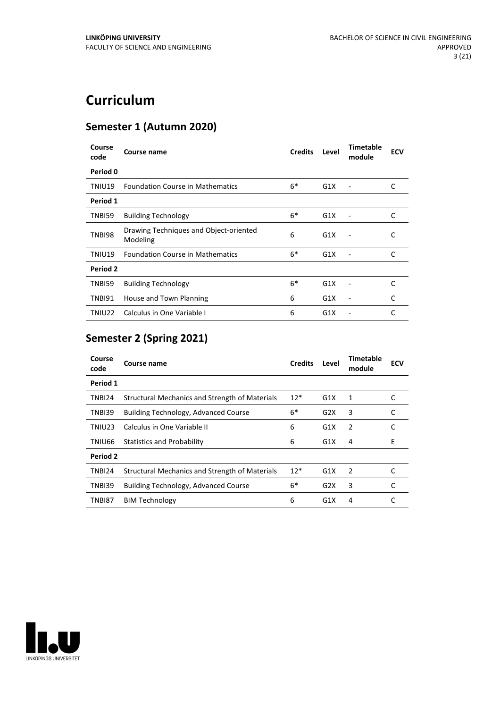# **Curriculum**

# **Semester 1 (Autumn 2020)**

| Course<br>code | Course name                                        | <b>Credits</b> | Level | <b>Timetable</b><br>module | <b>ECV</b> |
|----------------|----------------------------------------------------|----------------|-------|----------------------------|------------|
| Period 0       |                                                    |                |       |                            |            |
| TNIU19         | <b>Foundation Course in Mathematics</b>            | $6*$           | G1X   | ٠                          | C          |
| Period 1       |                                                    |                |       |                            |            |
| TNBI59         | <b>Building Technology</b>                         | $6*$           | G1X   |                            | C          |
| <b>TNBI98</b>  | Drawing Techniques and Object-oriented<br>Modeling | 6              | G1X   |                            | C          |
| TNIU19         | <b>Foundation Course in Mathematics</b>            | $6*$           | G1X   |                            | C          |
| Period 2       |                                                    |                |       |                            |            |
| TNBI59         | <b>Building Technology</b>                         | $6*$           | G1X   |                            | C          |
| TNBI91         | House and Town Planning                            | 6              | G1X   |                            | C          |
| TNIU22         | Calculus in One Variable I                         | 6              | G1X   |                            | C          |

# **Semester 2 (Spring 2021)**

| Course<br>code | Course name                                    | <b>Credits</b> | Level | Timetable<br>module | <b>ECV</b> |  |
|----------------|------------------------------------------------|----------------|-------|---------------------|------------|--|
| Period 1       |                                                |                |       |                     |            |  |
| TNBI24         | Structural Mechanics and Strength of Materials | $12*$          | G1X   | 1                   |            |  |
| TNBI39         | <b>Building Technology, Advanced Course</b>    | 6*             | G2X   | 3                   | C          |  |
| TNIU23         | Calculus in One Variable II                    | 6              | G1X   | 2                   | C          |  |
| TNIU66         | <b>Statistics and Probability</b>              | 6              | G1X   | 4                   | E          |  |
| Period 2       |                                                |                |       |                     |            |  |
| TNBI24         | Structural Mechanics and Strength of Materials | $12*$          | G1X   | 2                   | C          |  |
| TNBI39         | <b>Building Technology, Advanced Course</b>    | $6*$           | G2X   | 3                   | C          |  |
| TNBI87         | <b>BIM Technology</b>                          | 6              | G1X   | 4                   |            |  |

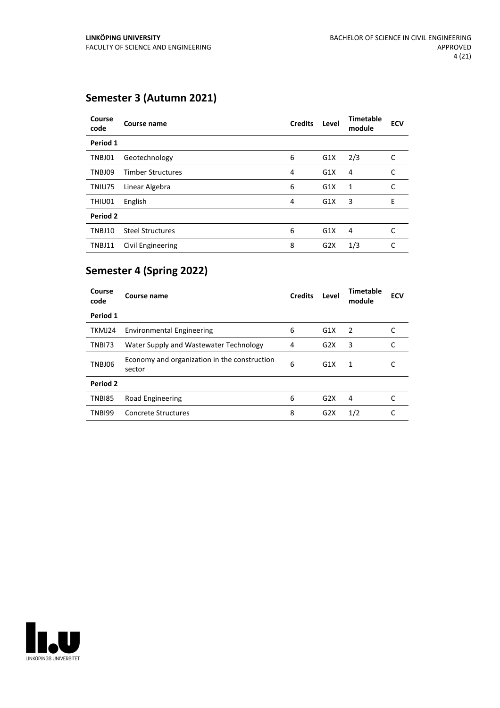# **Semester 3 (Autumn 2021)**

| Course<br>code | Course name              | <b>Credits</b> | Level | <b>Timetable</b><br>module | <b>ECV</b> |
|----------------|--------------------------|----------------|-------|----------------------------|------------|
| Period 1       |                          |                |       |                            |            |
| TNBJ01         | Geotechnology            | 6              | G1X   | 2/3                        | C          |
| TNBJ09         | <b>Timber Structures</b> | 4              | G1X   | 4                          | C          |
| TNIU75         | Linear Algebra           | 6              | G1X   | 1                          | C          |
| THIU01         | English                  | 4              | G1X   | 3                          | E          |
| Period 2       |                          |                |       |                            |            |
| TNBJ10         | <b>Steel Structures</b>  | 6              | G1X   | 4                          | C          |
| TNBJ11         | Civil Engineering        | 8              | G2X   | 1/3                        | C          |

# **Semester 4 (Spring 2022)**

| Course name                                            | <b>Credits</b> | Level | Timetable<br>module | <b>ECV</b> |
|--------------------------------------------------------|----------------|-------|---------------------|------------|
|                                                        |                |       |                     |            |
| <b>Environmental Engineering</b>                       | 6              | G1X   | -2                  |            |
| Water Supply and Wastewater Technology                 | 4              | G2X   | 3                   |            |
| Economy and organization in the construction<br>sector | 6              | G1X   | 1                   |            |
|                                                        |                |       |                     |            |
| Road Engineering                                       | 6              | G2X   | 4                   |            |
| <b>Concrete Structures</b>                             | 8              | G2X   | 1/2                 |            |
|                                                        |                |       |                     |            |

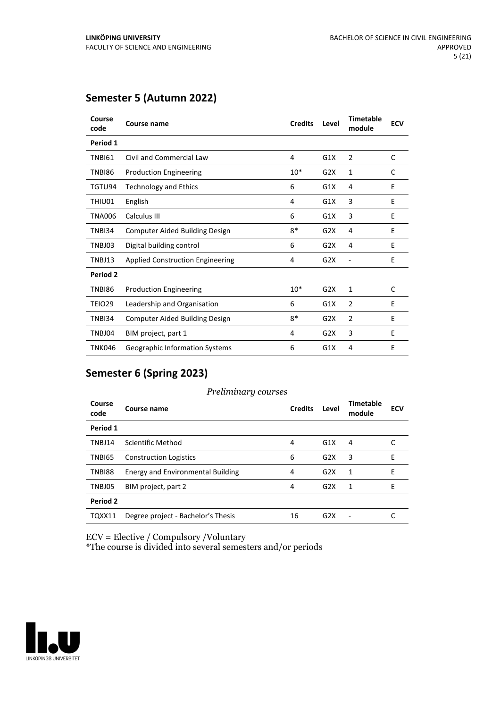# **Semester 5 (Autumn 2022)**

| Course<br>code  | <b>Course name</b>                      | <b>Credits</b> | Level | <b>Timetable</b><br>module | <b>ECV</b> |
|-----------------|-----------------------------------------|----------------|-------|----------------------------|------------|
| Period 1        |                                         |                |       |                            |            |
| TNBI61          | Civil and Commercial Law                | 4              | G1X   | $\overline{2}$             | C          |
| TNBI86          | <b>Production Engineering</b>           | $10*$          | G2X   | 1                          | C          |
| TGTU94          | <b>Technology and Ethics</b>            | 6              | G1X   | 4                          | E          |
| THIU01          | English                                 | 4              | G1X   | 3                          | E          |
| <b>TNA006</b>   | Calculus III                            | 6              | G1X   | 3                          | Е          |
| TNBI34          | <b>Computer Aided Building Design</b>   | $8*$           | G2X   | 4                          | E          |
| TNBJ03          | Digital building control                | 6              | G2X   | 4                          | E          |
| TNBJ13          | <b>Applied Construction Engineering</b> | 4              | G2X   | ÷                          | E          |
| <b>Period 2</b> |                                         |                |       |                            |            |
| TNBI86          | <b>Production Engineering</b>           | $10*$          | G2X   | 1                          | C          |
| TEIO29          | Leadership and Organisation             | 6              | G1X   | 2                          | E          |
| TNBI34          | <b>Computer Aided Building Design</b>   | $8*$           | G2X   | $\overline{2}$             | Е          |
| TNBJ04          | BIM project, part 1                     | 4              | G2X   | 3                          | E          |
| <b>TNK046</b>   | <b>Geographic Information Systems</b>   | 6              | G1X   | 4                          | Е          |

# **Semester 6 (Spring 2023)**

#### *Preliminary courses*

| Course<br>code | Course name                              | <b>Credits</b> | Level | <b>Timetable</b><br>module | <b>ECV</b> |
|----------------|------------------------------------------|----------------|-------|----------------------------|------------|
| Period 1       |                                          |                |       |                            |            |
| TNBJ14         | Scientific Method                        | 4              | G1X   | 4                          |            |
| <b>TNBI65</b>  | <b>Construction Logistics</b>            | 6              | G2X   | 3                          | E.         |
| <b>TNBI88</b>  | <b>Energy and Environmental Building</b> | 4              | G2X   | 1                          | F          |
| TNBJ05         | BIM project, part 2                      | 4              | G2X   | 1                          | Е          |
| Period 2       |                                          |                |       |                            |            |
| TQXX11         | Degree project - Bachelor's Thesis       | 16             | G2X   |                            |            |

ECV = Elective / Compulsory /Voluntary

\*The course is divided into several semesters and/or periods

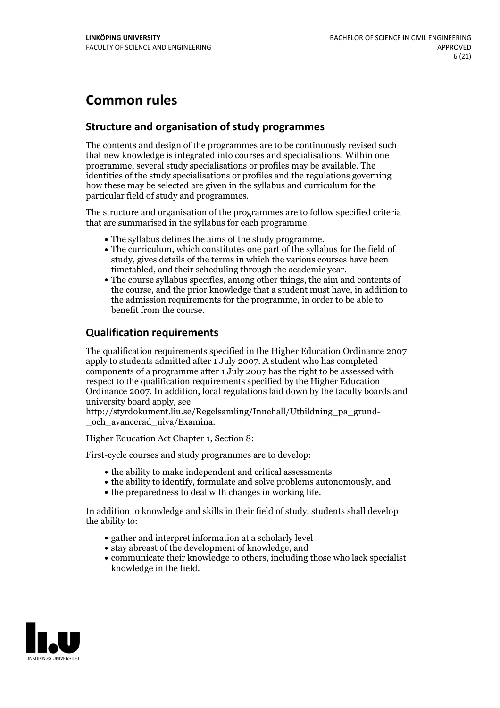# **Common rules**

## **Structure and organisation of study programmes**

The contents and design of the programmes are to be continuously revised such that new knowledge is integrated into courses and specialisations. Within one programme, several study specialisations or profiles may be available. The identities of the study specialisations or profiles and the regulations governing how these may be selected are given in the syllabus and curriculum for the particular field of study and programmes.

The structure and organisation of the programmes are to follow specified criteria that are summarised in the syllabus for each programme.

- 
- The syllabus defines the aims of the study programme.<br>• The curriculum, which constitutes one part of the syllabus for the field of study, gives details of the terms in which the various courses have been
- The course syllabus specifies, among other things, the aim and contents of the course, and the prior knowledge that a student must have, in addition to the admission requirements for the programme, in order to be able to benefit from the course.

## **Qualification requirements**

The qualification requirements specified in the Higher Education Ordinance 2007 apply to students admitted after 1 July 2007. A student who has completed components of a programme after 1 July 2007 has the right to be assessed with respect to the qualification requirements specified by the Higher Education Ordinance 2007. In addition, local regulations laid down by the faculty boards and university board apply, see

http://styrdokument.liu.se/Regelsamling/Innehall/Utbildning\_pa\_grund-och\_avancerad\_niva/Examina.

Higher Education Act Chapter 1, Section 8:

First-cycle courses and study programmes are to develop:

- the ability to make independent and critical assessments
- the ability to identify, formulate and solve problems autonomously, and
- the preparedness to deal with changes in working life.

In addition to knowledge and skills in their field of study, students shall develop the ability to:

- gather and interpret information at a scholarly level
- stay abreast of the development of knowledge, and
- communicate their knowledge to others, including those who lack specialist knowledge in the field.

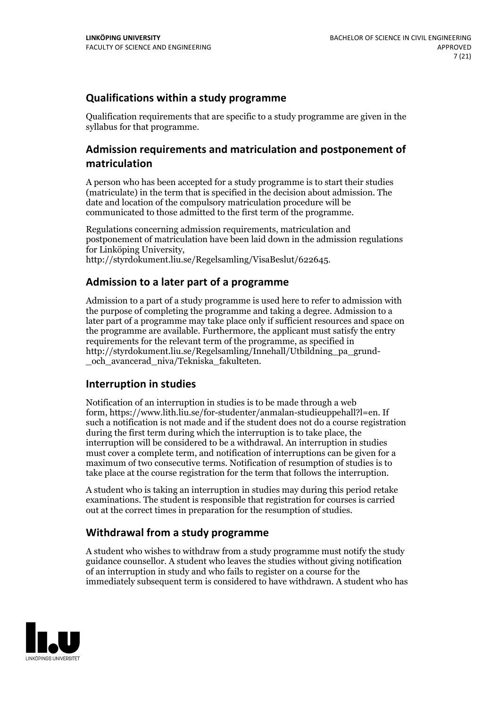# **Qualifications within a study programme**

Qualification requirements that are specific to a study programme are given in the syllabus for that programme.

# **Admission requirements and matriculation and postponement of matriculation**

A person who has been accepted for a study programme is to start their studies (matriculate) in the term that is specified in the decision about admission. The date and location of the compulsory matriculation procedure will be communicated to those admitted to the first term of the programme.

Regulations concerning admission requirements, matriculation and postponement of matriculation have been laid down in the admission regulations for Linköping University, http://styrdokument.liu.se/Regelsamling/VisaBeslut/622645.

## **Admission to a later part of a programme**

Admission to a part of a study programme is used here to refer to admission with the purpose of completing the programme and taking a degree. Admission to a later part of a programme may take place only if sufficient resources and space on the programme are available. Furthermore, the applicant must satisfy the entry requirements for the relevant term of the programme, as specified in http://styrdokument.liu.se/Regelsamling/Innehall/Utbildning\_pa\_grund- \_och\_avancerad\_niva/Tekniska\_fakulteten.

# **Interruption in studies**

Notification of an interruption in studies is to be made through a web form, https://www.lith.liu.se/for-studenter/anmalan-studieuppehall?l=en. If such a notification is not made and if the student does not do a course registration during the first term during which the interruption is to take place, the interruption will be considered to be a withdrawal. An interruption in studies must cover a complete term, and notification of interruptions can be given for a maximum of two consecutive terms. Notification of resumption of studies is to take place at the course registration for the term that follows the interruption.

A student who is taking an interruption in studies may during this period retake examinations. The student is responsible that registration for courses is carried out at the correct times in preparation for the resumption of studies.

# **Withdrawal from a study programme**

A student who wishes to withdraw from a study programme must notify the study guidance counsellor. A student who leaves the studies without giving notification of an interruption in study and who fails to register on a course for the immediately subsequent term is considered to have withdrawn. A student who has

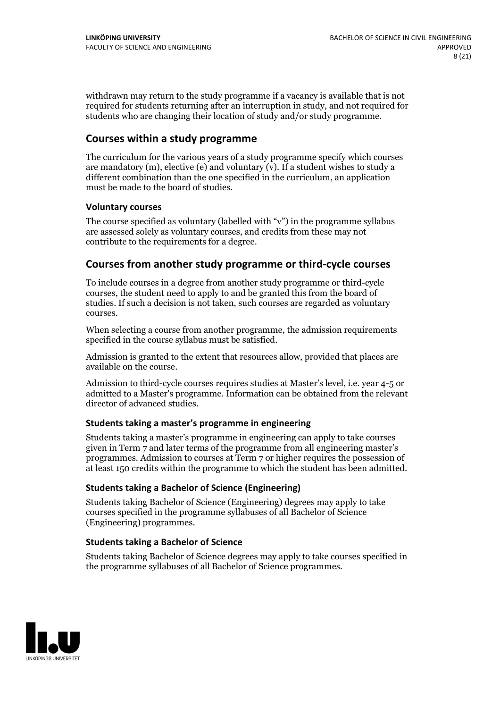withdrawn may return to the study programme if a vacancy is available that is not required for students returning after an interruption in study, and not required for students who are changing their location of study and/or study programme.

## **Courses within a study programme**

The curriculum for the various years of a study programme specify which courses are mandatory  $(m)$ , elective (e) and voluntary  $(v)$ . If a student wishes to study a different combination than the one specified in the curriculum, an application must be made to the board of studies.

#### **Voluntarycourses**

The course specified as voluntary (labelled with "v") in the programme syllabus are assessed solely as voluntary courses, and credits from these may not contribute to the requirements for a degree.

### **Courses from another study programme orthird-cycle courses**

To include courses in a degree from another study programme or third-cycle courses, the student need to apply to and be granted this from the board of studies. If such a decision is not taken, such courses are regarded as voluntary courses.

When selecting a course from another programme, the admission requirements specified in the course syllabus must be satisfied.

Admission is granted to the extent that resources allow, provided that places are available on the course.

Admission to third-cycle courses requires studies at Master's level, i.e. year 4-5 or admitted to a Master's programme. Information can be obtained from the relevant director of advanced studies.

#### **Students taking a master's programme in engineering**

Students taking a master's programme in engineering can apply to take courses given in Term 7 and later terms of the programme from all engineering master's programmes. Admission to courses at Term 7 or higher requires the possession of at least 150 credits within the programme to which the student has been admitted.

#### **Students taking a Bachelor of Science (Engineering)**

Students taking Bachelor of Science (Engineering) degrees may apply to take courses specified in the programme syllabuses of all Bachelor of Science (Engineering) programmes.

#### **Students taking a Bachelor of Science**

Students taking Bachelor of Science degrees may apply to take courses specified in the programme syllabuses of all Bachelor of Science programmes.

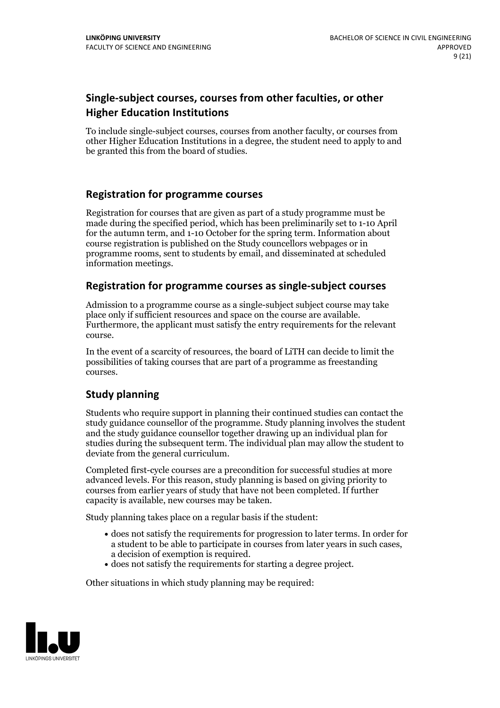# **Single-subject courses, courses from other faculties, or other Higher Education Institutions**

To include single-subject courses, courses from another faculty, or courses from other Higher Education Institutions in a degree, the student need to apply to and be granted this from the board of studies.

## **Registration for programme courses**

Registration for courses that are given as part of a study programme must be made during the specified period, which has been preliminarily set to 1-10 April for the autumn term, and 1-10 October for the spring term. Information about course registration is published on the Study councellors webpages or in programme rooms, sent to students by email, and disseminated at scheduled information meetings.

### **Registration for programme courses as single-subject courses**

Admission to a programme course as a single-subject subject course may take place only if sufficient resources and space on the course are available. Furthermore, the applicant must satisfy the entry requirements for the relevant course.

In the event of a scarcity of resources, the board of LiTH can decide to limit the possibilities of taking courses that are part of a programme as freestanding courses.

# **Study planning**

Students who require support in planning their continued studies can contact the study guidance counsellor of the programme. Study planning involves the student and the study guidance counsellor together drawing up an individual plan for studies during the subsequent term. The individual plan may allow the student to deviate from the general curriculum.

Completed first-cycle courses are a precondition for successful studies at more advanced levels. For this reason, study planning is based on giving priority to courses from earlier years of study that have not been completed. If further capacity is available, new courses may be taken.

Study planning takes place on a regular basis if the student:

- does not satisfy the requirements for progression to later terms. In order for a student to be able to participate in courses from later years in such cases, a decision of exemption is required.<br>
• does not satisfy the requirements for starting a degree project.
- 

Other situations in which study planning may be required:

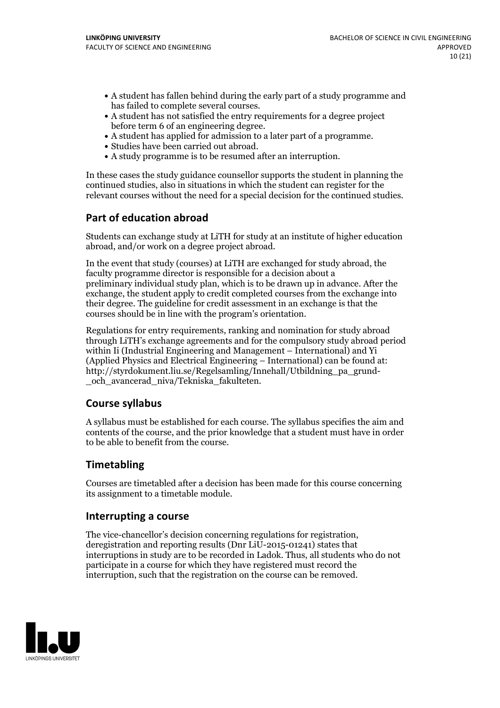- A student has fallen behind during the early part of a study programme and
- has failed to complete several courses.<br>• A student has not satisfied the entry requirements for a degree project<br>before term 6 of an engineering degree.
- A student has applied for admission to a later part of a programme.<br>• Studies have been carried out abroad.<br>• A study programme is to be resumed after an interruption.
- 
- 

In these cases the study guidance counsellor supports the student in planning the continued studies, also in situations in which the student can register for the relevant courses without the need for a special decision for the continued studies.

# **Part of education abroad**

Students can exchange study at LiTH for study at an institute of higher education abroad, and/or work on a degree project abroad.

In the event that study (courses) at LiTH are exchanged for study abroad, the faculty programme director is responsible for a decision about a preliminary individual study plan, which is to be drawn up in advance. After the exchange, the student apply to credit completed courses from the exchange into their degree. The guideline for credit assessment in an exchange is that the courses should be in line with the program's orientation.

Regulations for entry requirements, ranking and nomination for study abroad through LiTH's exchange agreements and for the compulsory study abroad period within Ii (Industrial Engineering and Management – International) and Yi (Applied Physics and Electrical Engineering – International) can be found at: http://styrdokument.liu.se/Regelsamling/Innehall/Utbildning\_pa\_grund- \_och\_avancerad\_niva/Tekniska\_fakulteten.

# **Course syllabus**

A syllabus must be established for each course. The syllabus specifies the aim and contents of the course, and the prior knowledge that a student must have in order to be able to benefit from the course.

# **Timetabling**

Courses are timetabled after a decision has been made for this course concerning its assignment to a timetable module.

#### **Interrupting a course**

The vice-chancellor's decision concerning regulations for registration, deregistration and reporting results (Dnr LiU-2015-01241) states that interruptions in study are to be recorded in Ladok. Thus, all students who do not participate in a course for which they have registered must record the interruption, such that the registration on the course can be removed.

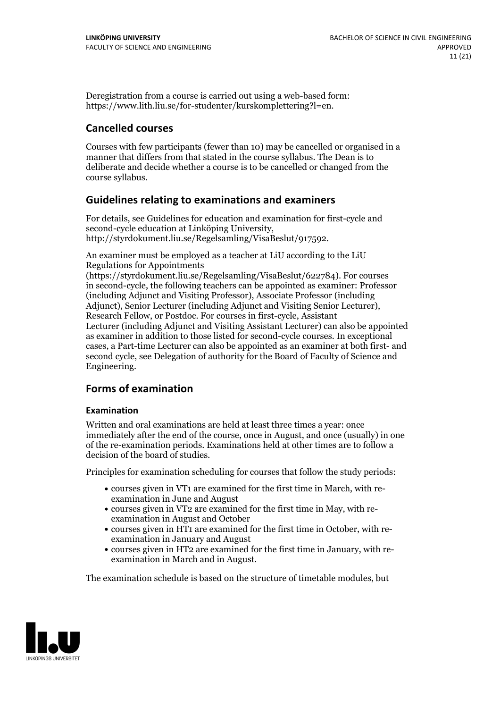Deregistration from a course is carried out using a web-based form: https://www.lith.liu.se/for-studenter/kurskomplettering?l=en.

## **Cancelled courses**

Courses with few participants (fewer than 10) may be cancelled or organised in a manner that differs from that stated in the course syllabus. The Dean is to deliberate and decide whether a course is to be cancelled or changed from the course syllabus.

### **Guidelines relatingto examinations and examiners**

For details, see Guidelines for education and examination for first-cycle and second-cycle education at Linköping University, http://styrdokument.liu.se/Regelsamling/VisaBeslut/917592.

An examiner must be employed as a teacher at LiU according to the LiU Regulations for Appointments

(https://styrdokument.liu.se/Regelsamling/VisaBeslut/622784). For courses in second-cycle, the following teachers can be appointed as examiner: Professor (including Adjunct and Visiting Professor), Associate Professor (including Adjunct), Senior Lecturer (including Adjunct and Visiting Senior Lecturer), Research Fellow, or Postdoc. For courses in first-cycle, Assistant Lecturer (including Adjunct and Visiting Assistant Lecturer) can also be appointed as examiner in addition to those listed for second-cycle courses. In exceptional cases, a Part-time Lecturer can also be appointed as an examiner at both first- and second cycle, see Delegation of authority for the Board of Faculty of Science and Engineering.

# **Forms of examination**

#### **Examination**

Written and oral examinations are held at least three times a year: once immediately after the end of the course, once in August, and once (usually) in one of the re-examination periods. Examinations held at other times are to follow a decision of the board of studies.

Principles for examination scheduling for courses that follow the study periods:

- courses given in VT1 are examined for the first time in March, with re-examination in June and August
- courses given in VT2 are examined for the first time in May, with re-examination in August and October
- courses given in HT1 are examined for the first time in October, with re-examination in January and August
- courses given in HT2 are examined for the first time in January, with re-examination in March and in August.

The examination schedule is based on the structure of timetable modules, but

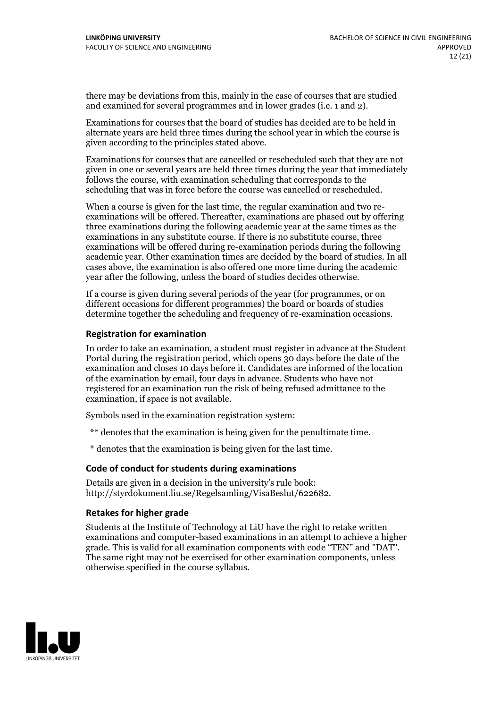there may be deviations from this, mainly in the case of courses that are studied and examined for several programmes and in lower grades (i.e. 1 and 2).

Examinations for courses that the board of studies has decided are to be held in alternate years are held three times during the school year in which the course is given according to the principles stated above.

Examinations for courses that are cancelled or rescheduled such that they are not given in one or several years are held three times during the year that immediately follows the course, with examination scheduling that corresponds to the scheduling that was in force before the course was cancelled or rescheduled.

When a course is given for the last time, the regular examination and two re-<br>examinations will be offered. Thereafter, examinations are phased out by offering three examinations during the following academic year at the same times as the examinations in any substitute course. If there is no substitute course, three examinations will be offered during re-examination periods during the following academic year. Other examination times are decided by the board of studies. In all cases above, the examination is also offered one more time during the academic year after the following, unless the board of studies decides otherwise.

If a course is given during several periods of the year (for programmes, or on different occasions for different programmes) the board or boards of studies determine together the scheduling and frequency of re-examination occasions.

#### **Registration for examination**

In order to take an examination, a student must register in advance at the Student Portal during the registration period, which opens 30 days before the date of the examination and closes 10 days before it. Candidates are informed of the location of the examination by email, four days in advance. Students who have not registered for an examination run the risk of being refused admittance to the examination, if space is not available.

Symbols used in the examination registration system:

\*\* denotes that the examination is being given for the penultimate time.

\* denotes that the examination is being given for the last time.

#### **Code of conduct for students during examinations**

Details are given in a decision in the university's rule book: http://styrdokument.liu.se/Regelsamling/VisaBeslut/622682.

#### **Retakes for higher grade**

Students at the Institute of Technology at LiU have the right to retake written examinations and computer-based examinations in an attempt to achieve a higher grade. This is valid for all examination components with code "TEN" and "DAT". The same right may not be exercised for other examination components, unless otherwise specified in the course syllabus.

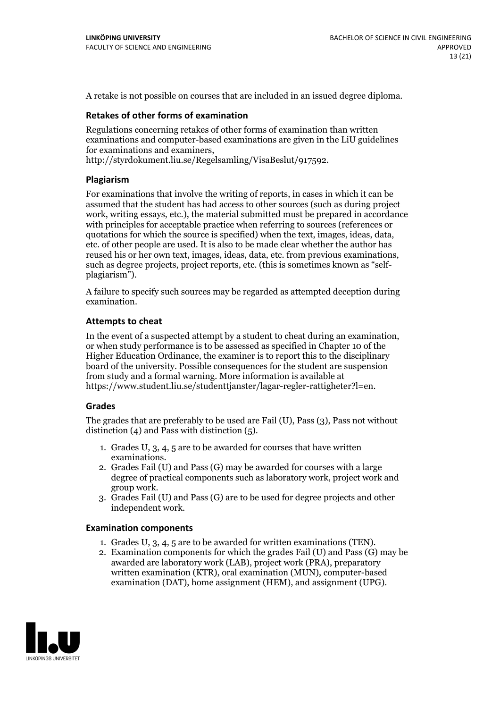A retake is not possible on courses that are included in an issued degree diploma.

#### **Retakes of other forms of examination**

Regulations concerning retakes of other forms of examination than written examinations and computer-based examinations are given in the LiU guidelines for examinations and examiners, http://styrdokument.liu.se/Regelsamling/VisaBeslut/917592.

#### **Plagiarism**

For examinations that involve the writing of reports, in cases in which it can be assumed that the student has had access to other sources (such as during project work, writing essays, etc.), the material submitted must be prepared in accordance with principles for acceptable practice when referring to sources (references or quotations for which the source is specified) when the text, images, ideas, data, etc. of other people are used. It is also to be made clear whether the author has reused his or her own text, images, ideas, data, etc. from previous examinations, such as degree projects, project reports, etc. (this is sometimes known as "self- plagiarism").

A failure to specify such sources may be regarded as attempted deception during examination.

#### **Attempts to cheat**

In the event of <sup>a</sup> suspected attempt by <sup>a</sup> student to cheat during an examination, or when study performance is to be assessed as specified in Chapter <sup>10</sup> of the Higher Education Ordinance, the examiner is to report this to the disciplinary board of the university. Possible consequences for the student are suspension from study and a formal warning. More information is available at https://www.student.liu.se/studenttjanster/lagar-regler-rattigheter?l=en.

#### **Grades**

The grades that are preferably to be used are Fail (U), Pass (3), Pass not without distinction  $(4)$  and Pass with distinction  $(5)$ .

- 1. Grades U, 3, 4, 5 are to be awarded for courses that have written
- examinations. 2. Grades Fail (U) and Pass (G) may be awarded for courses with <sup>a</sup> large degree of practical components such as laboratory work, project work and group work. 3. Grades Fail (U) and Pass (G) are to be used for degree projects and other
- independent work.

#### **Examination components**

- 1. Grades U, 3, 4, <sup>5</sup> are to be awarded for written examinations (TEN). 2. Examination components for which the grades Fail (U) and Pass (G) may be
- awarded are laboratory work (LAB), project work (PRA), preparatory written examination (KTR), oral examination (MUN), computer-based examination (DAT), home assignment (HEM), and assignment (UPG).

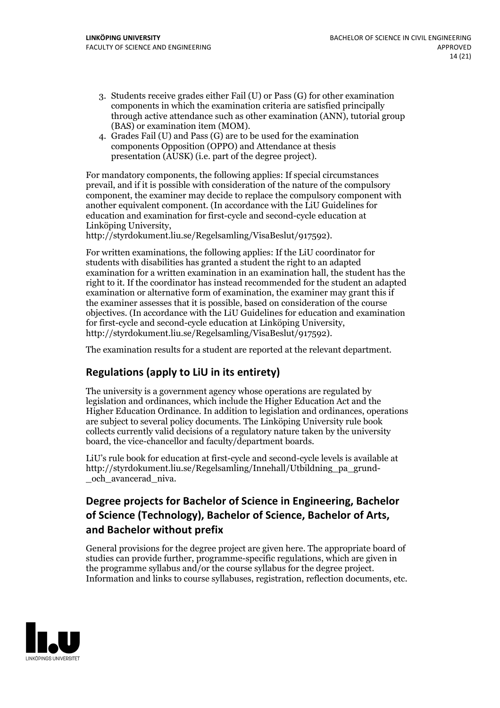- 3. Students receive grades either Fail (U) or Pass (G) for other examination components in which the examination criteria are satisfied principally through active attendance such as other examination (ANN), tutorial group (BAS) or examination item (MOM). 4. Grades Fail (U) and Pass (G) are to be used for the examination
- components Opposition (OPPO) and Attendance at thesis presentation (AUSK) (i.e. part of the degree project).

For mandatory components, the following applies: If special circumstances prevail, and if it is possible with consideration of the nature ofthe compulsory component, the examiner may decide to replace the compulsory component with another equivalent component. (In accordance with the LiU Guidelines for education and examination for first-cycle and second-cycle education at Linköping University, http://styrdokument.liu.se/Regelsamling/VisaBeslut/917592).

For written examinations, the following applies: If the LiU coordinator for students with disabilities has granted a student the right to an adapted examination for a written examination in an examination hall, the student has the right to it. If the coordinator has instead recommended for the student an adapted examination or alternative form of examination, the examiner may grant this if the examiner assesses that it is possible, based on consideration of the course objectives. (In accordance with the LiU Guidelines for education and examination for first-cycle and second-cycle education at Linköping University, http://styrdokument.liu.se/Regelsamling/VisaBeslut/917592).

The examination results for a student are reported at the relevant department.

# **Regulations (applyto LiU in its entirety)**

The university is a government agency whose operations are regulated by legislation and ordinances, which include the Higher Education Act and the Higher Education Ordinance. In addition to legislation and ordinances, operations are subject to several policy documents. The Linköping University rule book collects currently valid decisions of a regulatory nature taken by the university board, the vice-chancellor and faculty/department boards.

LiU's rule book for education at first-cycle and second-cycle levels is available at http://styrdokument.liu.se/Regelsamling/Innehall/Utbildning\_pa\_grund- \_och\_avancerad\_niva.

# **Degree projects for Bachelor of Science in Engineering, Bachelor of Science (Technology), Bachelor of Science, Bachelor of Arts, and Bachelor without prefix**

General provisions for the degree project are given here. The appropriate board of studies can provide further, programme-specific regulations, which are given in the programme syllabus and/or the course syllabus for the degree project. Information and links to course syllabuses, registration, reflection documents, etc.

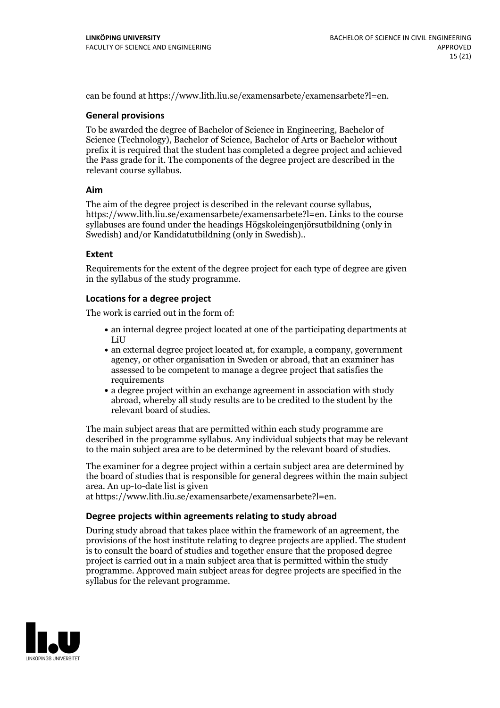can be found at https://www.lith.liu.se/examensarbete/examensarbete?l=en.

#### **General provisions**

To be awarded the degree of Bachelor of Science in Engineering, Bachelor of Science (Technology), Bachelor of Science, Bachelor of Arts or Bachelor without prefix it is required that the student has completed a degree project and achieved the Pass grade for it. The components of the degree project are described in the relevant course syllabus.

#### **Aim**

The aim of the degree project is described in the relevant course syllabus, https://www.lith.liu.se/examensarbete/examensarbete?l=en. Links to the course syllabuses are found under the headings Högskoleingenjörsutbildning (only in Swedish) and/or Kandidatutbildning (only in Swedish)..

#### **Extent**

Requirements for the extent of the degree project for each type of degree are given in the syllabus of the study programme.

#### **Locations for a degree project**

The work is carried out in the form of:

- an internal degree project located at one of the participating departments at LiU
- an external degree project located at, for example, a company, government agency, or other organisation in Sweden or abroad, that an examiner has assessed to be competent to manage a degree project that satisfies the requirements
- a degree project within an exchange agreement in association with study abroad, whereby all study results are to be credited to the student by the relevant board of studies.

The main subject areas that are permitted within each study programme are described in the programme syllabus. Any individual subjects that may be relevant to the main subject area are to be determined by the relevant board of studies.

The examiner for a degree project within a certain subject area are determined by the board of studies that is responsible for general degrees within the main subject area. An up-to-date list is given

at https://www.lith.liu.se/examensarbete/examensarbete?l=en.

#### **Degree projects within agreements relatingto study abroad**

During study abroad that takes place within the framework of an agreement, the provisions of the host institute relating to degree projects are applied. The student is to consult the board of studies and together ensure that the proposed degree project is carried out in a main subject area that is permitted within the study programme. Approved main subject areas for degree projects are specified in the syllabus for the relevant programme.

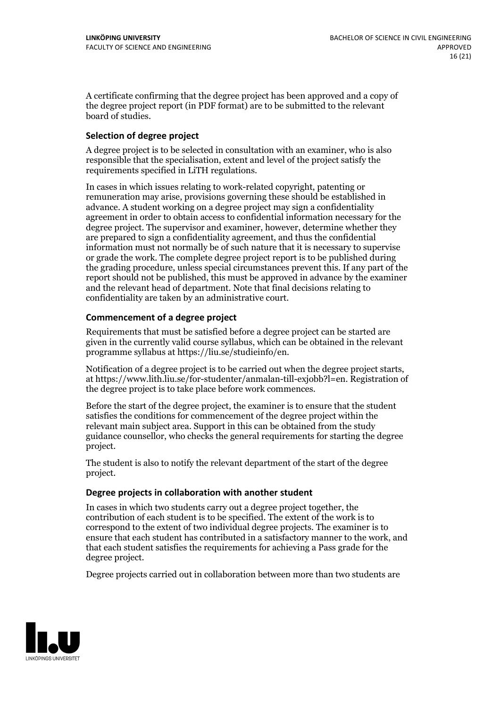A certificate confirming that the degree project has been approved and a copy of the degree project report (in PDF format) are to be submitted to the relevant board of studies.

#### **Selection of degree project**

A degree project is to be selected in consultation with an examiner, who is also responsible that the specialisation, extent and level of the project satisfy the requirements specified in LiTH regulations.

In cases in which issues relating to work-related copyright, patenting or remuneration may arise, provisions governing these should be established in advance. A student working on a degree project may sign a confidentiality agreement in order to obtain access to confidential information necessary for the degree project. The supervisor and examiner, however, determine whether they are prepared to sign a confidentiality agreement, and thus the confidential information must not normally be of such nature that it is necessary to supervise or grade the work. The complete degree project report is to be published during the grading procedure, unless special circumstances prevent this. If any part of the report should not be published, this must be approved in advance by the examiner and the relevant head of department. Note that final decisions relating to confidentiality are taken by an administrative court.

#### **Commencement of a degree project**

Requirements that must be satisfied before a degree project can be started are given in the currently valid course syllabus, which can be obtained in the relevant programme syllabus at https://liu.se/studieinfo/en.

Notification of <sup>a</sup> degree project is to be carried outwhen the degree project starts, at https://www.lith.liu.se/for-studenter/anmalan-till-exjobb?l=en. Registration of the degree project is to take place before work commences.

Before the start of the degree project, the examiner is to ensure that the student satisfies the conditions for commencement of the degree project within the relevant main subject area. Support in this can be obtained from the study guidance counsellor, who checks the general requirements for starting the degree project.

The student is also to notify the relevant department of the start of the degree project.

#### **Degree projects in collaboration with another student**

In cases in which two students carry out a degree project together, the contribution of each student is to be specified. The extent of the work is to correspond to the extent of two individual degree projects. The examiner is to ensure that each student has contributed in a satisfactory manner to the work, and that each student satisfies the requirements for achieving a Pass grade for the degree project.

Degree projects carried out in collaboration between more than two students are

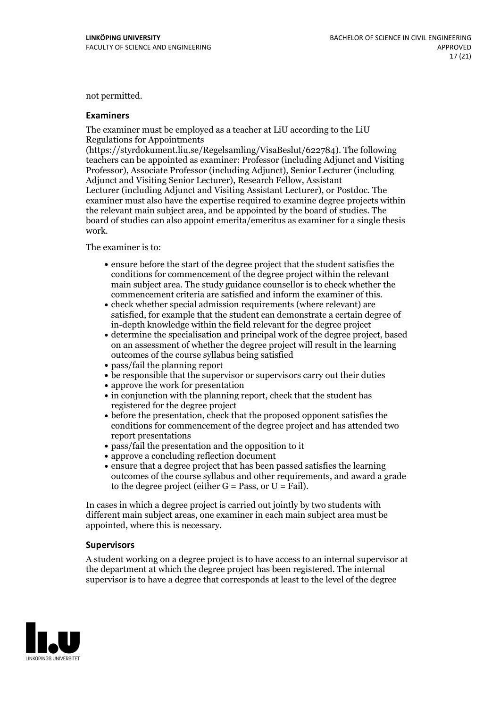not permitted.

#### **Examiners**

The examiner must be employed as a teacher at LiU according to the LiU Regulations for Appointments

(https://styrdokument.liu.se/Regelsamling/VisaBeslut/622784). The following teachers can be appointed as examiner: Professor (including Adjunct and Visiting Professor), Associate Professor (including Adjunct), Senior Lecturer (including Adjunct and Visiting Senior Lecturer), Research Fellow, Assistant Lecturer (including Adjunct and Visiting Assistant Lecturer), or Postdoc. The examiner must also have the expertise required to examine degree projects within the relevant main subject area, and be appointed by the board of studies. The board of studies can also appoint emerita/emeritus as examiner for a single thesis work.

The examiner is to:

- ensure before the start of the degree project that the student satisfies the conditions for commencement of the degree project within the relevant main subject area. The study guidance counsellor is to check whether the
- commencement criteria are satisfied and inform the examiner of this.<br>• check whether special admission requirements (where relevant) are satisfied, for example that the student can demonstrate a certain degree of in-depth knowledge within the field relevant for the degree project
- determine the specialisation and principal work of the degree project, based on an assessment of whether the degree project will result in the learning outcomes of the course syllabus being satisfied
- pass/fail the planning report
- be responsible that the supervisor or supervisors carry out their duties
- approve the work for presentation
- in conjunction with the planning report, check that the student has registered for the degree project
- before the presentation, check that the proposed opponent satisfies the conditions for commencement of the degree project and has attended two report presentations
- pass/fail the presentation and the opposition to it
- approve a concluding reflection document
- ensure that a degree project that has been passed satisfies the learning outcomes of the course syllabus and other requirements, and award a grade to the degree project (either  $G = Pass$ , or  $U = Fail$ ).

In cases in which a degree project is carried out jointly by two students with different main subject areas, one examiner in each main subject area must be appointed, where this is necessary.

#### **Supervisors**

A student working on a degree project is to have access to an internal supervisor at the department at which the degree project has been registered. The internal supervisor is to have a degree that corresponds at least to the level of the degree

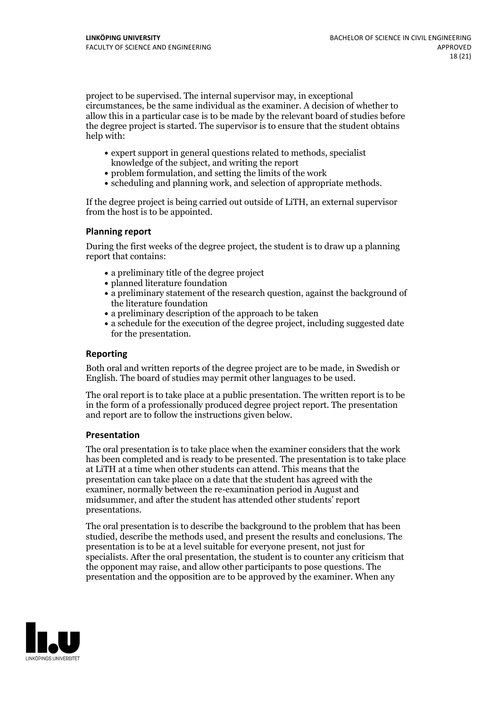project to be supervised. The internal supervisor may, in exceptional circumstances, be the same individual as the examiner. A decision of whether to allow this in a particular case is to be made by the relevant board of studies before the degree project is started. The supervisor is to ensure that the student obtains help with:

- expert support in general questions related to methods, specialist knowledge of the subject, and writing the report
- problem formulation, and setting the limits of the work
- scheduling and planning work, and selection of appropriate methods.

If the degree project is being carried out outside of LiTH, an external supervisor from the host is to be appointed.

#### **Planning report**

During the first weeks of the degree project, the student is to draw up a planning report that contains:

- $\bullet$  a preliminary title of the degree project
- planned literature foundation
- a preliminary statement of the research question, against the background of the literature foundation
- a preliminary description of the approach to be taken
- a schedule for the execution of the degree project, including suggested date for the presentation.

#### **Reporting**

Both oral and written reports of the degree project are to be made, in Swedish or English. The board of studies may permit other languages to be used.

The oral report is to take place at a public presentation. The written report is to be in the form of a professionally produced degree project report. The presentation and report are to follow the instructions given below.

#### **Presentation**

The oral presentation is to take place when the examiner considers that the work has been completed and is ready to be presented. The presentation is to take place at LiTH at a time when other students can attend. This means that the presentation can take place on a date that the student has agreed with the examiner, normally between the re-examination period in August and midsummer, and after the student has attended other students' report presentations.

The oral presentation is to describe the background to the problem that has been studied, describe the methods used, and present the results and conclusions. The presentation is to be at a level suitable for everyone present, not just for specialists. After the oral presentation, the student is to counter any criticism that the opponent may raise, and allow other participants to pose questions. The presentation and the opposition are to be approved by the examiner. When any

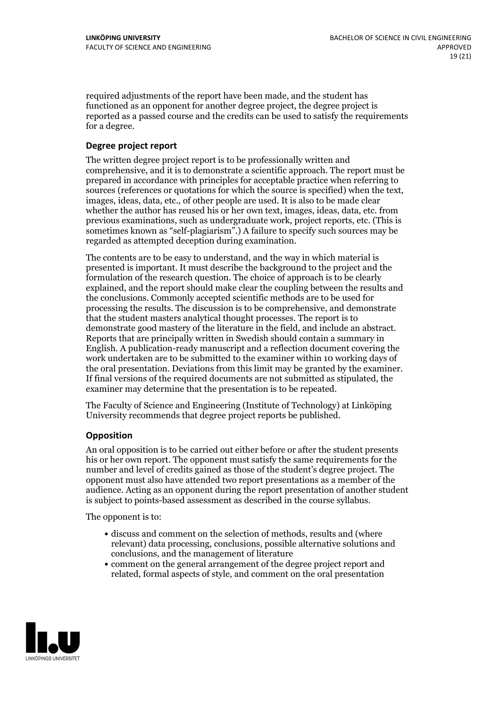required adjustments of the report have been made, and the student has functioned as an opponent for another degree project, the degree project is reported as a passed course and the credits can be used to satisfy the requirements for a degree.

#### **Degree project report**

The written degree project report is to be professionally written and comprehensive, and it is to demonstrate a scientific approach. The report must be prepared in accordance with principles for acceptable practice when referring to sources (references or quotations for which the source is specified) when the text, images, ideas, data, etc., of other people are used. It is also to be made clear whether the author has reused his or her own text, images, ideas, data, etc. from previous examinations, such asundergraduate work, project reports, etc. (This is sometimes known as "self-plagiarism".) A failure to specify such sources may be regarded as attempted deception during examination.

The contents are to be easy to understand, and the way in which material is presented is important. It must describe the background to the project and the formulation of the research question. The choice of approach is to be clearly explained, and the report should make clear the coupling between the results and the conclusions. Commonly accepted scientific methods are to be used for processing the results. The discussion is to be comprehensive, and demonstrate that the student masters analytical thought processes. The report is to demonstrate good mastery of the literature in the field, and include an abstract. Reports that are principally written in Swedish should contain <sup>a</sup> summary in English. A publication-ready manuscript and a reflection document covering the work undertaken are to be submitted to the examiner within 10 working days of the oral presentation. Deviations from this limit may be granted by the examiner. If final versions of the required documents are not submitted as stipulated, the examiner may determine that the presentation is to be repeated.

The Faculty of Science and Engineering (Institute of Technology) at Linköping University recommends that degree project reports be published.

#### **Opposition**

An oral opposition is to be carried out either before or after the student presents his or her own report. The opponent must satisfy the same requirements for the number and level of credits gained as those of the student's degree project. The opponent must also have attended two report presentations as a member of the audience. Acting as an opponent during the report presentation of another student is subject to points-based assessment as described in the course syllabus.

The opponent is to:

- discuss and comment on the selection of methods, results and (where relevant) data processing, conclusions, possible alternative solutions and conclusions, and the management of literature
- comment on the general arrangement of the degree project report and related, formal aspects of style, and comment on the oral presentation

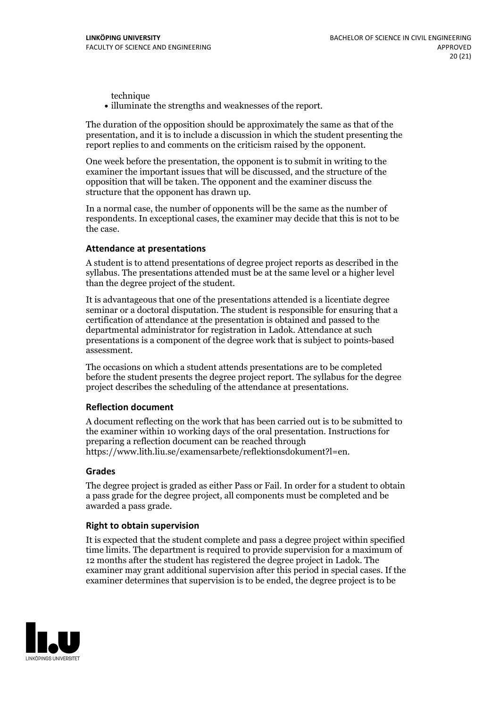technique

illuminate the strengths and weaknesses of the report.

The duration of the opposition should be approximately the same as that of the presentation, and it is to include a discussion in which the student presenting the report replies to and comments on the criticism raised by the opponent.

One week before the presentation, the opponent is to submit in writing to the examiner the important issues that will be discussed, and the structure of the opposition that will be taken. The opponent and the examiner discuss the structure that the opponent has drawn up.

In a normal case, the number of opponents will be the same as the number of respondents. In exceptional cases, the examiner may decide that this is not to be the case.

#### **Attendance at presentations**

A student is to attend presentations of degree project reports as described in the syllabus. The presentations attended must be at the same level or a higher level than the degree project of the student.

It is advantageous that one of the presentations attended is a licentiate degree seminar or a doctoral disputation. The student is responsible for ensuring that a certification of attendance at the presentation is obtained and passed to the departmental administrator for registration in Ladok. Attendance at such presentations is a component of the degree work that is subject to points-based assessment.

The occasions on which a student attends presentations are to be completed before the student presents the degree project report. The syllabus for the degree project describes the scheduling of the attendance at presentations.

#### **Reflection document**

A document reflecting on the work that has been carried out is to be submitted to the examiner within 10 working days of the oral presentation. Instructions for preparing a reflection document can be reached through https://www.lith.liu.se/examensarbete/reflektionsdokument?l=en.

#### **Grades**

The degree project is graded as either Pass or Fail. In order for a student to obtain a pass grade for the degree project, all components must be completed and be awarded a pass grade.

#### **Right to obtain supervision**

It is expected that the student complete and pass a degree project within specified time limits. The department is required to provide supervision for a maximum of 12 months after the student has registered the degree project in Ladok. The examiner may grant additional supervision after this period in special cases. If the examiner determines that supervision is to be ended, the degree project is to be